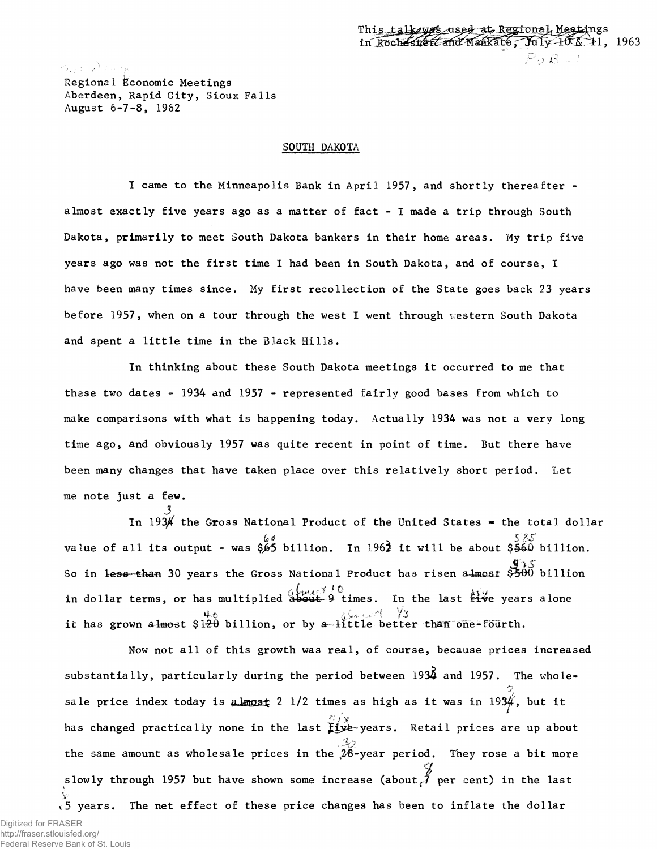ついにつき Regional Economic Meetings Aberdeen, Rapid City, Sioux Falls August 6-7-8, 1962

## SOUTH DAKOTA

I came to the Minneapolis Bank in April 1957, and shortly thereafter almost exactly five years ago as a matter of fact - I made a trip through South Dakota, primarily to meet South Dakota bankers in their home areas. My trip five years ago was not the first time I had been in South Dakota, and of course, 1 have been many times since. My first recollection of the State goes back *23* years before 1957, when on a tour through the west I went through western South Dakota and spent a little time in the Black Hills.

In thinking about these South Dakota meetings it occurred to me that these two dates  $-$  1934 and 1957 - represented fairly good bases from which to make comparisons with what is happening today. Actually 1934 was not a very long time ago, and obviously 1957 was quite recent in point of time. But there have been many changes that have taken place over this relatively short period. Let me note just a few.

In 1934 the Gross National Product of the United States  $*$  the total dollar fc\* . 5 *BS'* value of all its output - was *\$Jd6* billion. In 1963 it will be about \$§40 billion. *& '\* s* So in 30 years the Gross National Product has risen a4maa£ \$-500 billion in dollar terms, or has multiplied about 9 times. In the last  $\mathbf{Hve}$  years alone 4-0 ,• \* wf r3 it has grown almest \$1-20 billion, or by a l i t t l e better than dne-fourth.

has changed practically none in the last  $\hat{f}_1$   $\hat{y}_2$ -years. Retail prices are up about slowly through 1957 but have shown some increase (about *j* per cent) in the last  $\sqrt{5}$  years. The net effect of these price changes has been to inflate the dollar Now not all of this growth was real, of course, because prices increased substantially, particularly during the period between 1934 and 1957. The wholesale price index today is almost 2 1/2 times as high as it was in 1934, but it the same amount as wholesale prices in the  $\frac{3}{2}$ -year period. They rose a bit more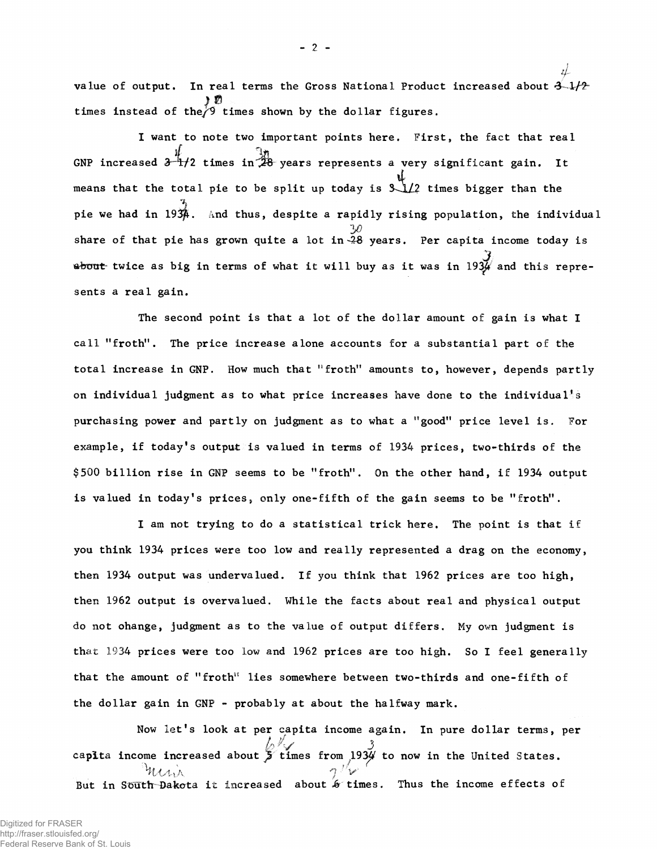*H* value of output. In real terms the Gross National Product increased about  $3-1/2$ times instead of the  $\sqrt[3]{9}$  times shown by the dollar figures.

I want to note two important points here. First, the fact that real GNP increased  $3\frac{4}{11}$ /2 times in  $\frac{10}{28}$  years represents a very significant gain. It means that the total pie to be split up today is  $\mathcal{L}_2$  times bigger than the pie we had in 1934. And thus, despite a rapidly rising population, the individual *y)* share of that pie has grown quite a lot in  $\tilde{\mathcal{A}}$ 8 years. Per capita income today is  $\frac{3}{4}$  twice as big in terms of what it will buy as it was in 1934 and this represents a real gain.

The second point is that a lot of the dollar amount of gain is what I call "froth". The price increase alone accounts for a substantial part of the total increase in GNP. How much that "froth" amounts to, however, depends partly on individual judgment as to what price increases have done to the individual's purchasing power and partly on judgment as to what a "good" price level is. For example, if today's output is valued in terms of 1934 prices, two-thirds of the \$500 billion rise in GNP seems to be "froth". On the other hand, if 1934 output is valued in today's prices, only one-fifth of the gain seems to be "froth".

I am not trying to do a statistical trick here. The point is that if you think 1934 prices were too low and really represented a drag on the economy, then 1934 output was undervalued. If you think that 1962 prices are too high, then 1962 output is overvalued. While the facts about real and physical output do not change, judgment as to the value of output differs. My own judgment is that 1934 prices were too low and 1962 prices are too high. So I feel generally that the amount of "froth" lies somewhere between two-thirds and one-fifth of the dollar gain in GNP - probably at about the halfway mark.

Now let's look at per capita income again. In pure dollar terms, per *if* capita income increased about  $\frac{1}{2}$  times from 193 $\frac{1}{2}$  to now in the United States.  $\gamma$  'V But in Si5uth Dakota it increased about *Jo* times. Thus the income effects of

 $-2$  -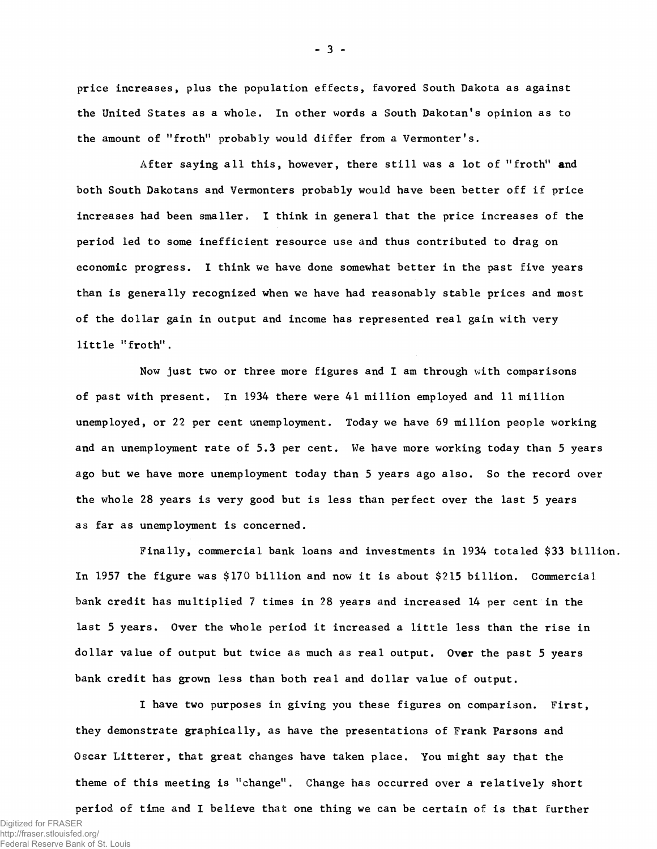price increases, plus the population effects, favored South Dakota as against the United States as a whole. In other words a South Dakotan's opinion as to the amount of "froth" probably would differ from a Vermonter's.

After saying all this, however, there still was a lot of "froth" and both South Dakotans and Vermonters probably would have been better off if price increases had been smaller, I think in general that the price increases of the period led to some inefficient resource use and thus contributed to drag on economic progress. I think we have done somewhat better in the past five years than is generally recognized when we have had reasonably stable prices and most of the dollar gain in output and income has represented real gain with very little "froth".

Now just two or three more figures and I am through with comparisons of past with present. In 1934 there were 41 million employed and 11 million unemployed, or 22 per cent unemployment. Today we have 69 million people working and an unemployment rate of 5.3 per cent. We have more working today than 5 years ago but we have more unemployment today than 5 years ago also. So the record over the whole 28 years is very good but is less than perfect over the last 5 years as far as unemployment is concerned.

Finally, commercial bank loans and investments in 1934 totaled \$33 billion. In 1957 the figure was \$170 billion and now it is about \$215 billion. Commercial bank credit has multiplied 7 times in 28 years and increased 14 per cent in the last 5 years. Over the whole period it increased a little less than the rise in dollar value of output but twice as much as real output. Over the past 5 years bank credit has grown less than both real and dollar value of output.

I have two purposes in giving you these figures on comparison. First, they demonstrate graphically, as have the presentations of Frank Parsons and Oscar Litterer, that great changes have taken place. You might say that the theme of this meeting is "change". Change has occurred over a relatively short period of time and I believe that one thing we can be certain of is that further

- 3 -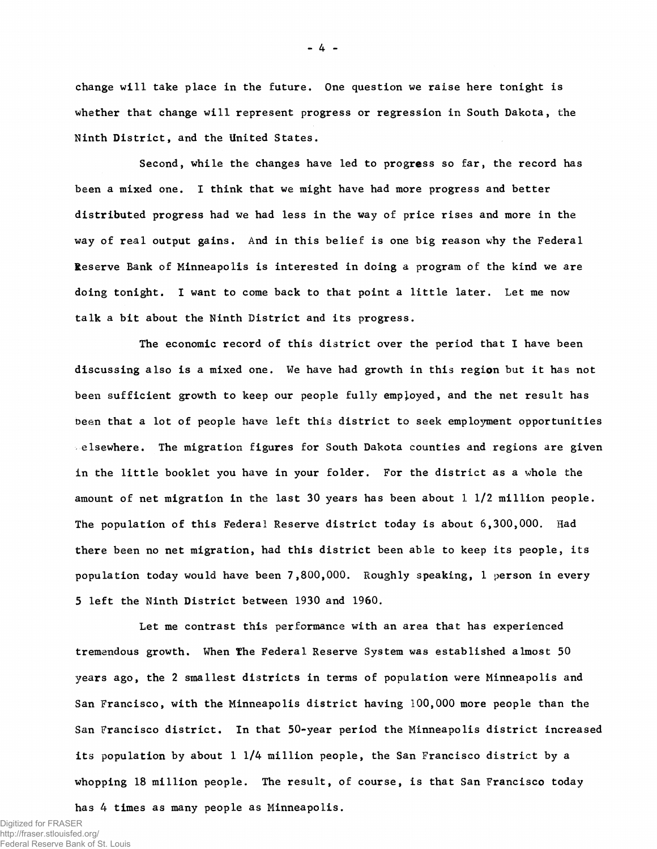change will take place in the future. One question we raise here tonight is whether that change will represent progress or regression in South Dakota, the Ninth District, and the United States.

Second, while the changes have led to progress so far, the record has been a mixed one. I think that we might have had more progress and better distributed progress had we had less in the way of price rises and more in the way of real output gains. And in this belief is one big reason why the Federal Reserve Bank of Minneapolis is interested in doing a program of the kind we are doing tonight. I want to come back to that point a little later. Let me now talk a bit about the Ninth District and its progress.

The economic record of this district over the period that I have been discussing also is a mixed one. We have had growth in this region but it has not been sufficient growth to keep our people fully employed, and the net result has been that a lot of people have left this district to seek employment opportunities elsewhere. The migration figures for South Dakota counties and regions are given in the little booklet you have in your folder. For the district as a whole the amount of net migration in the last 30 years has been about 1 1/2 million people. The population of this Federal Reserve district today is about 6,300,000. Had there been no net migration, had this district been able to keep its people, its population today would have been 7,800,000. Roughly speaking, 1 person in every 5 left the Ninth District between 1930 and 1960.

Let me contrast this performance with an area that has experienced tremendous growth. When *the* Federal Reserve System was established almost 50 years ago, the 2 smallest districts in terms of population were Minneapolis and San Francisco, with the Minneapolis district having 100,000 more people than the San Francisco district. In that 50-year period the Minneapolis district increased its population by about 1 1/4 million people, the San Francisco district by a whopping 18 million people. The result, of course, is that San Francisco today has 4 times as many people as Minneapolis.

Digitized for FRASER http://fraser.stlouisfed.org/ Federal Reserve Bank of St. Louis - 4 -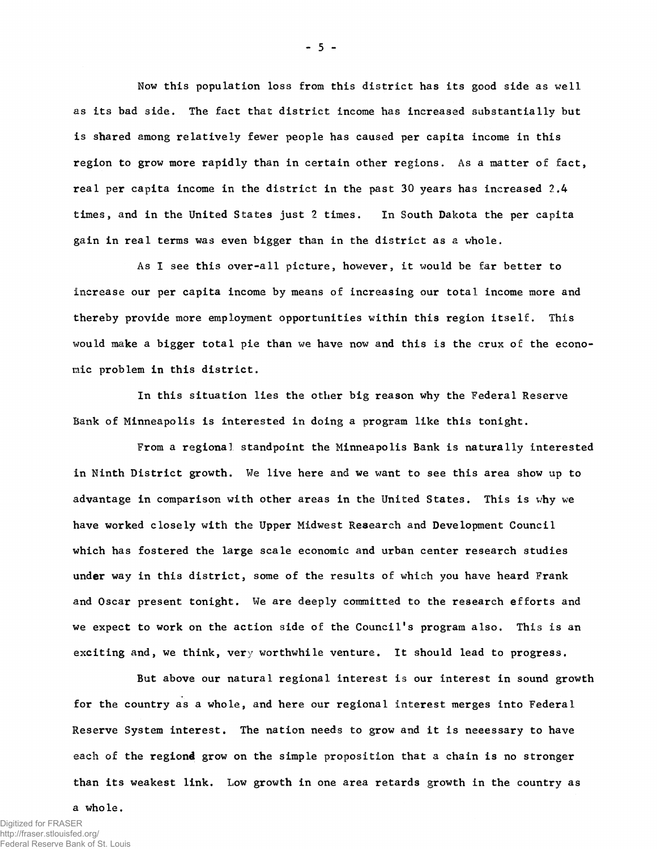Now this population loss from this district has its good side as well as its bad side. The fact that district income has increased substantially but is shared among relatively fewer people has caused per capita income in this region to grow more rapidly than in certain other regions. As a matter of fact, real per capita income in the district in the past 30 years has increased 2,4 times, and in the United States just 2 times. In South Dakota the per capita gain in real terms was even bigger than in the district as a whole.

As I see this over-all picture, however, it would be far better to increase our per capita income by means of increasing our total income more and thereby provide more employment opportunities within this region itself. This would make a bigger total pie than we have now and this is the crux of the economic problem in this district.

In this situation lies the other big reason why the Federal Reserve Bank of Minneapolis is interested in doing a program like this tonight.

From a regional standpoint the Minneapolis Bank is naturally interested in Ninth District growth. We live here and we want to see this area show up to advantage in comparison with other areas in the United States. This is why we have worked closely with the Upper Midwest Research and Development Council which has fostered the large scale economic and urban center research studies under way in this district, some of the results of which you have heard Frank and Oscar present tonight. We are deeply committed to the research efforts and we expect to work on the action side of the Council's program also. This is an exciting and, we think, very worthwhile venture. It should lead to progress.

But above our natural regional interest is our interest in sound growth for the country as a whole, and here our regional interest merges into Federal Reserve System interest. The nation needs to grow and it is necessary to have each of the regiond grow on the simple proposition that a chain is no stronger than its weakest link. Low growth in one area retards growth in the country as

a whole.

 $-5 -$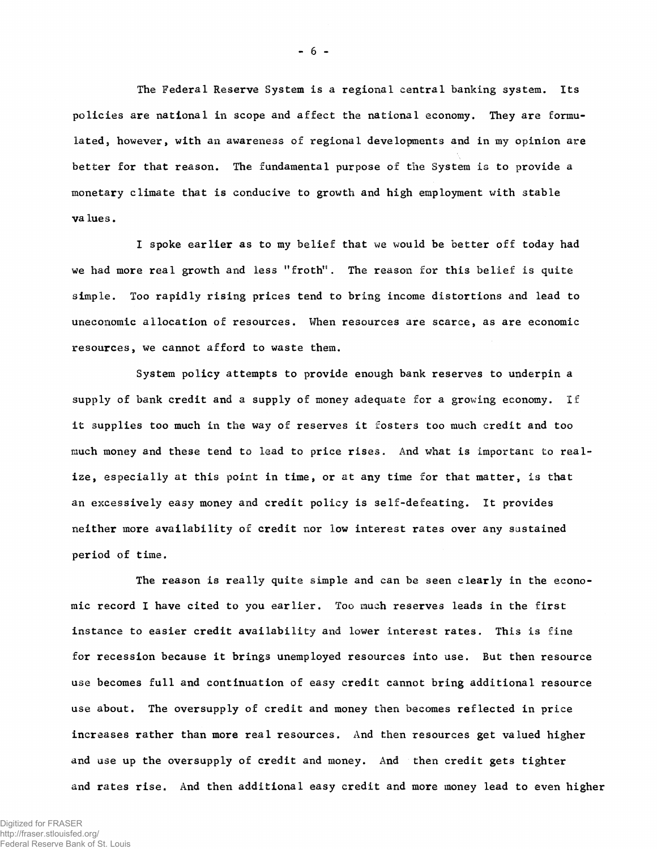The Federal Reserve System is a regional central banking system. Its policies are national in scope and affect the national economy. They are formulated, however, with an awareness of regional developments and in my opinion are better for that reason. The fundamental purpose of the System is to provide a monetary climate that is conducive to growth and high employment with stable va lues.

I spoke earlier as to my belief that we would be better off today had we had more real growth and less "froth". The reason for this belief is quite simple. Too rapidly rising prices tend to bring income distortions and lead to uneconomic allocation of resources. When resources are scarce, as are economic resources, we cannot afford to waste them.

System policy attempts to provide enough bank reserves to underpin a supply of bank credit and a supply of money adequate for a growing economy. If it supplies too much in the way of reserves it fosters too much credit and too much money and these tend to lead to price rises. And what is important to realize, especially at this point in time, or at any time for that matter, is that an excessively easy money and credit policy is self-defeating. It provides neither more availability of credit nor low interest rates over any sustained period of time.

The reason is really quite simple and can be seen clearly in the economic record I have cited to you earlier. Too much reserves leads in the first instance to easier credit availability and lower interest rates. This is fine for recession because it brings unemployed resources into use. But then resource use becomes full and continuation of easy credit cannot bring additional resource use about. The oversupply of credit and money then becomes reflected in price increases rather than more real resources. And then resources get valued higher and use up the oversupply of credit and money. And then credit gets tighter and rates rise. And then additional easy credit and more money lead to even higher

- 6 -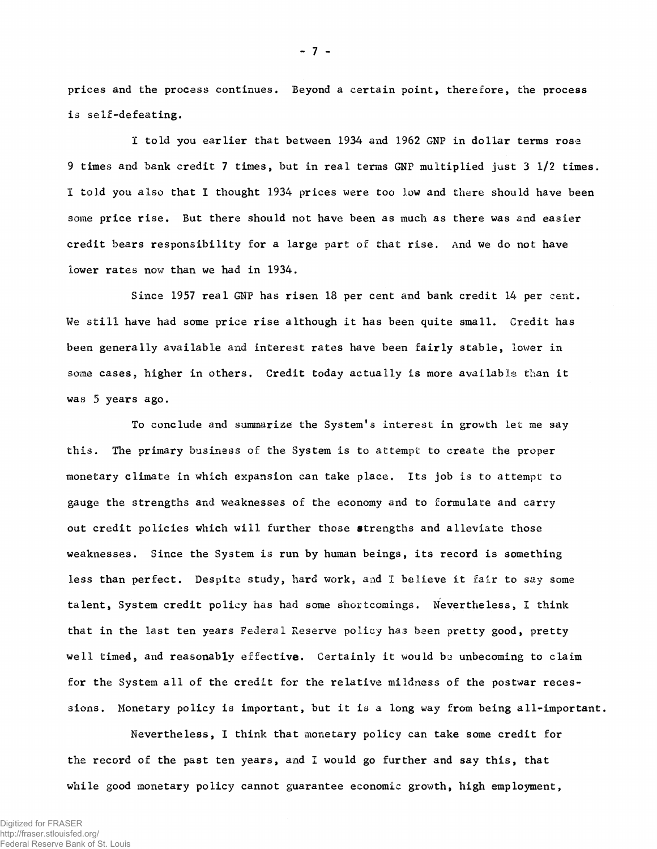prices and the process continues. Beyond a certain point, therefore, the process is self-defeating,

1 told you earlier that between 1934 and 1962 GNP in dollar terms rose 9 times and bank credit 7 times, but in real terms GNP multiplied just 3 1/2 times. I told you also that I thought 1934 prices were too low and there should have been some price rise. But there should not have been as much as there was and easier credit bears responsibility for a large part of that rise. And we do not have lower rates now than we had in 1934.

Since 1957 real GNP has risen 18 per cent and bank credit 14 per cent. We still have had some price rise although it has been quite small. Credit has been generally available and interest rates have been fairly stable, lower in some cases, higher in others. Credit today actually is more available than it was 5 years ago.

To conclude and summarize the System's interest in growth let me say this. The primary business of the System is to attempt to create the proper monetary climate in which expansion can take place. Its job is to attempt to gauge the strengths and weaknesses of the economy and to formulate and carry out credit policies which will further those strengths and alleviate those weaknesses. Since the System is run by human beings, its record is something less than perfect. Despite study, hard work, and I believe it fair to say some talent, System credit policy has had some shortcomings. Nevertheless, I think that in the last ten years Federal Reserve policy has been pretty good, pretty well timed, and reasonably effective. Certainly it would be unbecoming to claim for the System all of the credit for the relative mildness of the postwar recessions. Monetary policy is important, but it is a long way from being all-important.

Nevertheless, I think that monetary policy can take some credit for the record of the past ten years, and 1 would go further and say this, that while good monetary policy cannot guarantee economic growth, high employment,

- 7 -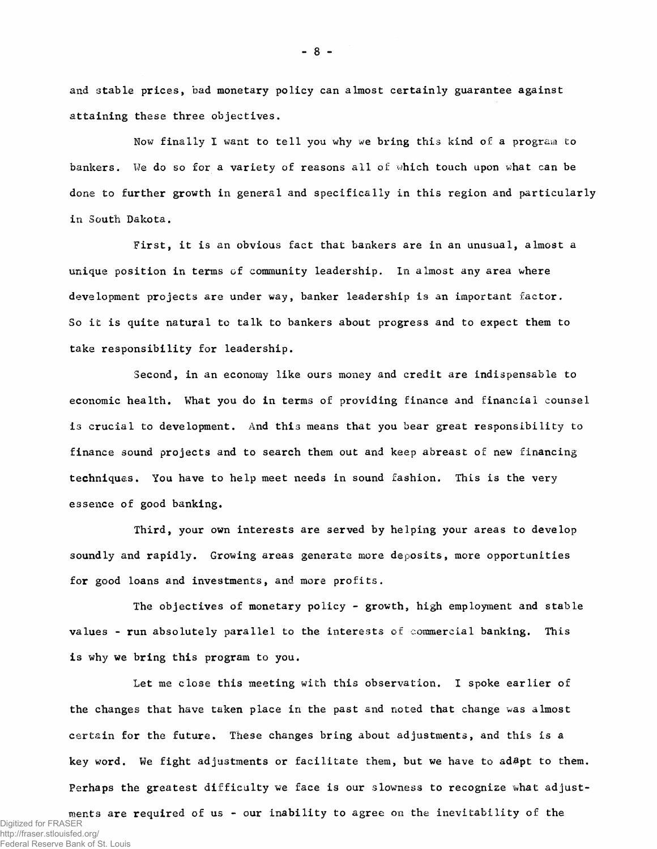and stable prices, bad monetary policy can almost certainly guarantee against attaining these three objectives.

Now finally I want to tell you why we bring this kind of a program to bankers. We do so for a variety of reasons all *oi* which touch upon what can be done to further growth in general and specifically in this region and particularly in South Dakota,

First, it is an obvious fact that bankers are in an unusual, almost a unique position in terms of community leadership. In almost any area where development projects are under way, banker leadership is an important factor. So it is quite natural to talk to bankers about progress and to expect them to take responsibility for leadership.

Second, in an economy like ours money and credit are indispensable to economic health. What you do in terms of providing finance and financial counsel is crucial to development. And this means that you bear great responsibility to finance sound projects and to search them out and keep abreast of new financing techniques. You have to help meet needs in sound fashion. This is the very essence of good banking.

Third, your own interests are served by helping your areas to develop soundly and rapidly. Growing areas generate more deposits, more opportunities for good loans and investments, and more profits.

The objectives of monetary policy - growth, high employment and stable values - run absolutely parallel to the interests of commercial banking. This is why we bring this program to you.

Let me close this meeting with this observation. I spoke earlier of the changes that have taken place in the past and noted that change was almost certain for the future. These changes bring about adjustments, and this is a key word. We fight adjustments or facilitate them, but we have to ad&pt to them. Perhaps the greatest difficulty we face is our slowness to recognize what adjust-

ments are required of us - our inability to agree on the inevitability of the Digitized for FRASER http://fraser.stlouisfed.org/ Federal Reserve Bank of St. Louis

 $-8-$